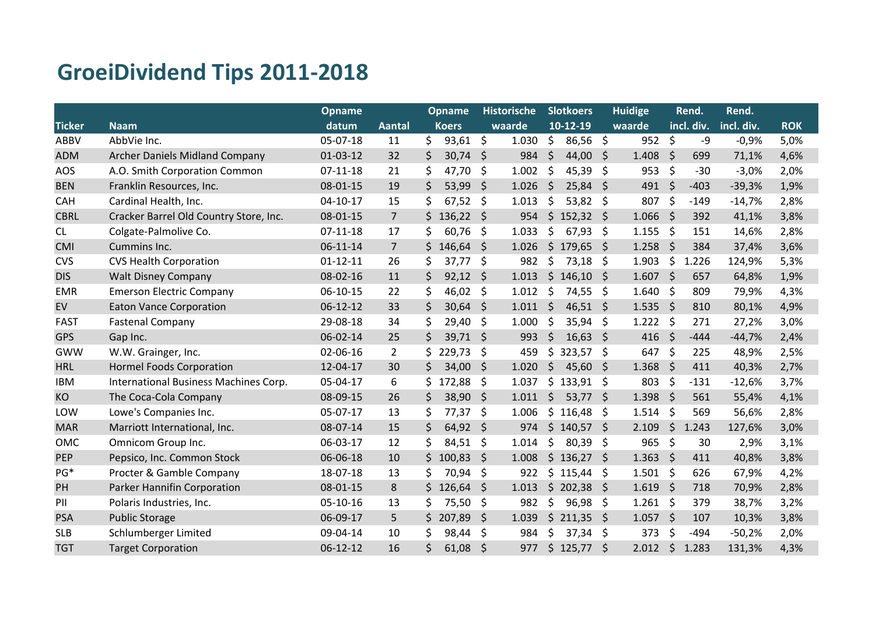## **GroeiDividend Tips 2011-2018**

|               |                                        | <b>Opname</b>  |                |                    | <b>Opname</b> | <b>Historische</b> |        | <b>Slotkoers</b> |                | <b>Huidige</b> |               | Rend.        |            | Rend.      |            |
|---------------|----------------------------------------|----------------|----------------|--------------------|---------------|--------------------|--------|------------------|----------------|----------------|---------------|--------------|------------|------------|------------|
| <b>Ticker</b> | <b>Naam</b>                            | datum          | <b>Aantal</b>  |                    | <b>Koers</b>  |                    | waarde |                  | $10-12-19$     |                | waarde        |              | incl. div. | incl. div. | <b>ROK</b> |
| <b>ABBV</b>   | AbbVie Inc.                            | 05-07-18       | 11             | \$                 | 93,61         | \$                 | 1.030  | \$               | 86,56          | \$             | 952           | $\zeta$      | -9         | $-0,9%$    | 5,0%       |
| <b>ADM</b>    | <b>Archer Daniels Midland Company</b>  | $01-03-12$     | 32             | \$                 | 30,74         | Ŝ.                 | 984    | \$               | 44,00          | Ŝ.             | 1.408         | \$           | 699        | 71,1%      | 4,6%       |
| <b>AOS</b>    | A.O. Smith Corporation Common          | $07 - 11 - 18$ | 21             | \$                 | 47,70         | \$.                | 1.002  | Ŝ.               | 45,39          | \$             | 953           | - \$         | $-30$      | $-3,0%$    | 2,0%       |
| <b>BEN</b>    | Franklin Resources, Inc.               | 08-01-15       | 19             | $\zeta$            | 53,99         | \$                 | 1.026  | \$               | 25,84          | -\$            | 491           | \$           | $-403$     | $-39,3%$   | 1,9%       |
| CAH           | Cardinal Health, Inc.                  | 04-10-17       | 15             | \$                 | 67,52         | \$                 | 1.013  | \$               | 53,82          | \$             | 807           | \$           | $-149$     | $-14,7%$   | 2,8%       |
| <b>CBRL</b>   | Cracker Barrel Old Country Store, Inc. | 08-01-15       | $\overline{7}$ | \$                 | 136,22        | \$                 | 954    | $\zeta$          | $152,32$ \$    |                | 1.066         | $\zeta$      | 392        | 41,1%      | 3,8%       |
| CL            | Colgate-Palmolive Co.                  | $07-11-18$     | 17             | Ś.                 | 60,76         | \$                 | 1.033  | \$               | 67,93          | \$             | 1.155         | - \$         | 151        | 14,6%      | 2,8%       |
| <b>CMI</b>    | Cummins Inc.                           | 06-11-14       | $\overline{7}$ | $\mathsf{\dot{S}}$ | 146,64        | \$                 | 1.026  | $\zeta$          | 179,65         | -\$            | 1.258         | $\zeta$      | 384        | 37,4%      | 3,6%       |
| <b>CVS</b>    | <b>CVS Health Corporation</b>          | $01 - 12 - 11$ | 26             | Ś                  | 37,77         | \$                 | 982    | \$               | 73,18          | \$             | 1.903         | \$           | 1.226      | 124,9%     | 5,3%       |
| <b>DIS</b>    | <b>Walt Disney Company</b>             | 08-02-16       | 11             | $\zeta$            | 92,12         | \$                 | 1.013  | $\zeta$          | 146,10         | -\$            | 1.607         | $\zeta$      | 657        | 64,8%      | 1,9%       |
| <b>EMR</b>    | <b>Emerson Electric Company</b>        | 06-10-15       | 22             | \$                 | 46,02         | \$                 | 1.012  | \$               | 74,55          | \$             | $1.640 \;$ \$ |              | 809        | 79,9%      | 4,3%       |
| EV            | <b>Eaton Vance Corporation</b>         | $06 - 12 - 12$ | 33             | \$                 | 30,64         | \$                 | 1.011  | $\zeta$          | $46,51 \; \xi$ |                | $1.535$ \$    |              | 810        | 80,1%      | 4,9%       |
| <b>FAST</b>   | <b>Fastenal Company</b>                | 29-08-18       | 34             | \$                 | 29,40         | \$                 | 1.000  | \$               | 35,94          | \$             | 1.222         | - \$         | 271        | 27,2%      | 3,0%       |
| GPS           | Gap Inc.                               | 06-02-14       | 25             | $\zeta$            | 39,71         | $\zeta$            | 993    | $\zeta$          | $16,63 \; \xi$ |                | $416$ \$      |              | $-444$     | $-44,7%$   | 2,4%       |
| GWW           | W.W. Grainger, Inc.                    | 02-06-16       | $\overline{2}$ | Ś                  | 229,73        | \$                 | 459    | \$               | $323,57$ \$    |                | 647           | - \$         | 225        | 48,9%      | 2,5%       |
| <b>HRL</b>    | <b>Hormel Foods Corporation</b>        | 12-04-17       | 30             | $\mathsf{\dot{S}}$ | 34,00         | \$                 | 1.020  | $\zeta$          | 45,60          | - \$           | $1.368$ \$    |              | 411        | 40,3%      | 2,7%       |
| <b>IBM</b>    | International Business Machines Corp.  | 05-04-17       | 6              | \$                 | 172,88        | \$                 | 1.037  | \$               | $133,91$ \$    |                | 803           | \$           | $-131$     | $-12,6%$   | 3,7%       |
| KO            | The Coca-Cola Company                  | 08-09-15       | 26             | \$                 | 38,90         | $\zeta$            | 1.011  | $\zeta$          | $53,77$ \$     |                | 1.398         | $\zeta$      | 561        | 55,4%      | 4,1%       |
| LOW           | Lowe's Companies Inc.                  | 05-07-17       | 13             | \$                 | 77,37         | \$                 | 1.006  | \$               | 116,48         | -\$            | 1.514         | \$           | 569        | 56,6%      | 2,8%       |
| <b>MAR</b>    | Marriott International, Inc.           | 08-07-14       | 15             | \$                 | 64,92         | \$                 | 974    |                  | $$140,57$ \$   |                | 2.109         | $\zeta$      | 1.243      | 127,6%     | 3,0%       |
| <b>OMC</b>    | Omnicom Group Inc.                     | 06-03-17       | 12             | \$                 | 84,51         | \$                 | 1.014  | \$               | 80,39          | \$             | 965           | \$           | 30         | 2,9%       | 3,1%       |
| PEP           | Pepsico, Inc. Common Stock             | 06-06-18       | 10             | \$.                | 100,83        | \$.                | 1.008  |                  | \$136,27       | -\$            | 1.363         | $\mathsf{S}$ | 411        | 40,8%      | 3,8%       |
| PG*           | Procter & Gamble Company               | 18-07-18       | 13             | \$                 | 70,94         | \$                 | 922    |                  | \$115,44       | -\$            | 1.501         | -\$          | 626        | 67,9%      | 4,2%       |
| PH            | Parker Hannifin Corporation            | 08-01-15       | 8              | Ś.                 | 126,64        | Ŝ.                 | 1.013  |                  | \$202,38       | -S             | 1.619         | - \$         | 718        | 70,9%      | 2,8%       |
| PII           | Polaris Industries, Inc.               | 05-10-16       | 13             | \$                 | 75,50         | \$                 | 982    | \$               | 96,98          | \$             | $1.261$ \$    |              | 379        | 38,7%      | 3,2%       |
| <b>PSA</b>    | <b>Public Storage</b>                  | 06-09-17       | 5              | \$                 | 207,89        | \$                 | 1.039  | $\zeta$          | $211,35$ \$    |                | $1.057$ \$    |              | 107        | 10,3%      | 3,8%       |
| <b>SLB</b>    | Schlumberger Limited                   | 09-04-14       | 10             | \$                 | 98,44         | \$                 | 984    | \$               | 37,34          | \$             | 373           | -\$          | $-494$     | $-50,2%$   | 2,0%       |
| <b>TGT</b>    | <b>Target Corporation</b>              | $06 - 12 - 12$ | 16             | \$                 | 61,08         | \$                 | 977    |                  | $$125,77$ \$   |                | 2.012         | $\zeta$      | 1.283      | 131,3%     | 4,3%       |
|               |                                        |                |                |                    |               |                    |        |                  |                |                |               |              |            |            |            |